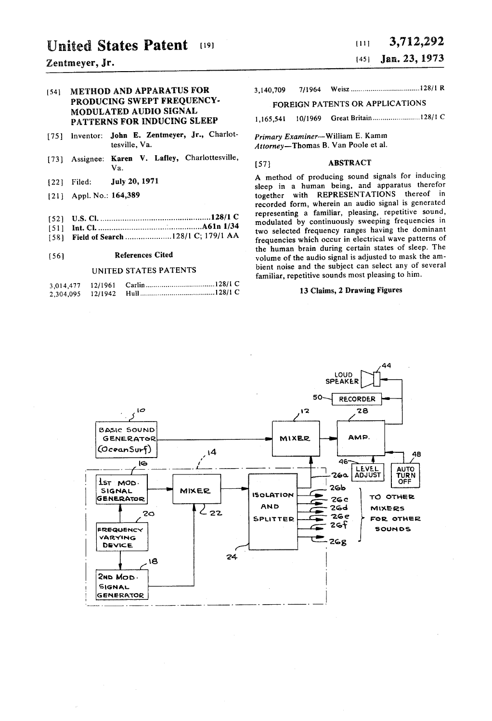## $\chi$ entmeyer, Jr. (45)

## 54 METHOD AND APPARATUS FOR 3, 140,709 7/1964 Weisz ................................... 12811 R PRODUCING SWEPT FREQUENCY. MODULATED AUDIO SIGNAL FOREIGN PATENTS OR APPLICATIONS PATTERNS FOR INDUCING SLEEP 1,165,541

- [75] Inventor: John E. Zentmeyer, Jr., Charlot-<br>tesville, Va. ditorney—Thomas B. Van Poole et al.
- 73) Assignee: Karen V. Lafley, Charlottesville, Va. (57) ABSTRACT
- 
- 
- 52) U.S. Cl......................................... ........ 128/1 C representing a familiar, pleasing, repetitive sound,
- 
- 

| 3.014.477 | 12/1961 |  |
|-----------|---------|--|
| 2.304.095 | 12/1942 |  |

# United States Patent (19) 111 3,712,292<br>  $\frac{111}{111}$  3,712,292

Attorney-Thomas B. Van Poole et al.

22] Filed: **July 20, 1971** A method of producing sound signals for inducing sleep in a human being, and apparatus therefor <br>
21] Appl. No.: 164,389 **A method of producing sound signals for inducing** sleep in a human being, together with REPRESENTATIONS thereof in recorded form, wherein an audio signal is generated<br>representing a familiar, pleasing, repetitive sound,  $\begin{array}{lllll} \text{521} & \text{U.S. CL} & \text{33.1} & \text{34.1} \\ \text{55.1} & \text{Int. CL} & \text{36.1} & \text{57.1} & \text{58.1} & \text{69.1} & \text{61.1} \\ \text{58.1} & \text{59.1} & \text{69.1} & \text{69.1} & \text{61.1} \\ \text{59.1} & \text{69.1} & \text{69.1} & \text{61.1} \\ \text{50.1} & \text{69.1} & \text{69.1} & \text{69.$ 58) Field of Search o 12871 c. 17911 AA two selected frequency ranges having the dominant - - - - - - - - - - - 9 frequencies which occur in electrical wave patterns of s the human brain during certain states of sleep. The<br>References Cited states of the audio signal is adjusted to mask the am-E56 References Cited volume of the audio signal is adjusted to mask the am-<br>volume of the audio signal is adjusted to mask the am-<br>bient noise and the subject can select any of several UNITED STATES PATENTS bient noise and the subject can select any of several familiar, repetitive sounds most pleasing to him.

### 13 Claims, 2 Drawing Figures

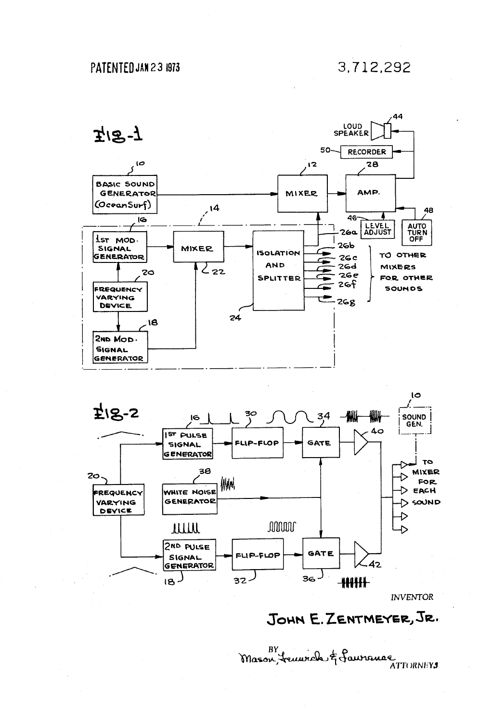

INVENTOR

## JOHN E. ZENTMEYER, JR.

BY surveil of fauronce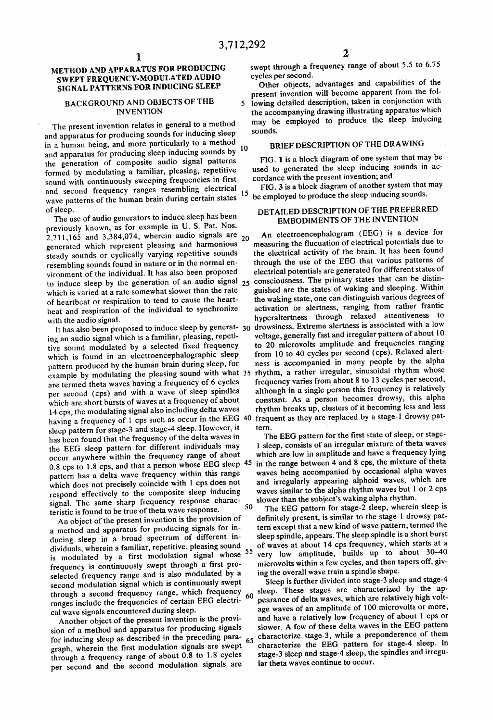### METHOD AND APPARATUS FOR PRODUCING SWEPT FREQUENCY-MODULATED AUDIO SIGNAL PATTERNS FOR INDUCING SLEEP

1.

### BACKGROUND AND OBJECTS OF THE **INVENTION**

The present invention relates in general to a method<br>and apparatus for producing sounds for inducing sleep in a human being, and more particularly to a method the generation of composite audio signal patterns formed by modulating a familiar, pleasing, repetitive sound with continuously sweeping frequencies in first and second frequency ranges resembling electrical wave patterns of the human brain during certain states of sleep. and apparatus for producing sleep inducing sounds by 10

The use of audio generators to induce sleep has been previously known, as for example in U. S. Pat. Nos. 2,711, 165 and 3,384,074, wherein audio signals are generated which represent pleasing and harmonious steady sounds or cyclically varying repetitive sounds resembling sounds found in nature or in the normal en vironment of the individual. It has also been proposed to induce sleep by the generation of an audio signal 25 which is varied at a rate somewhat slower than the rate of heartbeat or respiration to tend to cause the heart beat and respiration of the individual to synchronize 20

with the audio signal.<br>It has also been proposed to induce sleep by generat- 30<br>ing an audio signal which is a familiar, pleasing, repeti-<br>tive sound modulated by a selected fixed frequency<br>which is found in an electroence pattern produced by the human brain during sleep, for example by modulating the pleasing sound with what 35 are termed theta waves having a frequency of 6 cycles which are short bursts of waves at a frequency of about 14 cps, the modulating signal also including delta waves having a frequency of 1 cps such as occur in the EEG 40 sleep pattern for stage-3 and stage-4 sleep. However, it has been found that the frequency of the delta waves in the EEG sleep pattern for different individuals may occur anywhere within the frequency range of about 0.8 cps to 1.8 cps, and that a person whose EEG sleep <sup>45</sup> pattern has a delta wave frequency within this range which does not precisely coincide with 1 cps does not respond effectively to the composite sleep inducing signal. The same sharp frequency response characteristic is found to be true of theta wave response. 50

An object of the present invention is the provision of a method and apparatus for producing signals for in ducing sleep in a broad spectrum of different in-<br>dividuals, wherein a familiar, repetitive, pleasing sound dividuals, wherein a familiar, repetitive, pleasing sound is modulated by a first modulation signal whose <sup>55</sup> frequency is continuously swept through a first pre selected frequency range and is also modulated by a second modulation signal which is continuously swept second modulation signal which is continuously swept through a second frequency range, which frequency ranges include the frequencies of certain EEG electri

cal wave signals encountered during sleep.<br>Another object of the present invention is the provi-<br>sion of a method and apparatus for producing signals<br>for inducing sleep as described in the preceding para-<br>graph, wherein th per second and the second modulation signals are for inducing sleep as described in the preceding para- $65$ 

swept through a frequency range of about 5.5 to 6.75 cycles per second.

Other objects, advantages and capabilities of the present invention will become apparent from the fol 5 lowing detailed description, taken in conjunction with

the accompanying drawing illustrating apparatus which may be employed to produce the sleep inducing sounds.

### BRIEF DESCRIPTION OF THE DRAWING

FIG. 1 is a block diagram of one system that may be used to generated the sleep inducing sounds in ac

15 cordance with the present invention; and<br>FIG. 3 is a block diagram of another system that may be employed to produce the sleep inducing sounds.

### DETAILED DESCRIPTION OF THE PREFERRED EMBODIMENTS OF THE INVENTION

An electroencephalogram (EEG) is a device for measuring the flucuation of electrical potentials due to the electrical activity of the brain. It has been found through the use of the EEG that various patterns of electrical potentials are generated for different states of consciousness. The primary states that can be distin guished are the states of waking and sleeping. Within the waking state, one can distinguish various degrees of activation or alertness, ranging from rather frantic hyperaltertness through relaxed attentiveness to drowsiness. Extreme alertness is associated with a low voltage, generally fast and irregular pattern of about 10 from 10 to 40 cycles per second (cps). Relaxed alertness is accompanied in many people by the alpha rhythm, a rather irregular, sinusoidal rhythm whose although in a single person this frequency is relatively constant. As a person becomes drowsy, this alpha rhythm breaks up, clusters of it becoming less and less frequent as they are replaced by a stage-1 drowsy pat

tern.<br>The EEG pattern for the first state of sleep, or stage-1 sleep, consists of an irregular mixture of theta waves which are low in amplitude and have a frequency lying in the range between 4 and 8 cps, the mixture of theta waves being accompanied by occasional alpha waves and irregularly appearing alphoid waves, which are waves similar to the alpha rhythm waves but 1 or 2 cps

slower than the subject's waking alpha rhythm.<br>The EEG pattern for stage-2 sleep, wherein sleep is definitely present, is similar to the stage-1 drowsy pat tern except that a new kind of wave pattern, termed the sleep spindle, appears. The sleep spindle is a short burst of waves at about 14 cps frequency, which starts at a very low amplitude, builds up to about 30-40 microvolts within a few cycles, and then tapers off, giv-

 $\frac{60}{60}$  sleep. These stages are characterized by the aping the overall wave train a spindle shape.<br>Sleep is further divided into stage-3 sleep and stage-4 pearance of delta waves, which are relatively high volt-<br>age waves of an amplitude of 100 microvolts or more, and have a relatively low frequency of about 1 cps or slower. A few of these delta waves in the EEG pattern characterize stage-3, while a preponderence of them characterize the EEG pattern for stage-4 sleep. In stage-3 sleep and stage-4 sleep, the spindles and irregu lar theta waves continue to occur.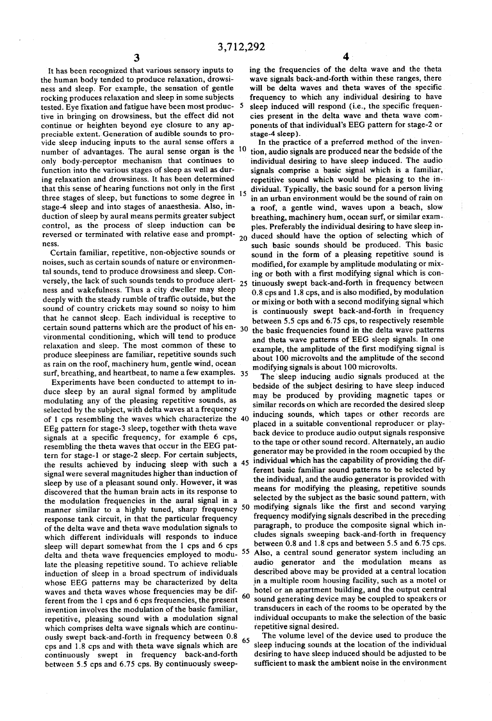It has been recognized that various sensory inputs to the human body tended to produce relaxation, drowsiness and sleep. For example, the sensation of gentle rocking produces relaxation and sleep in some subjects<br>tested. Eye fixation and fatigue have been most produc-<br>tive in bringing on drowsiness, but the effect did not<br>continue or heighten beyond eye closure to any appreciable extent. Generation of audible sounds to provide sleep inducing inputs to the aural sense offers a number of advantages. The aural sense organ is the <sup>10</sup> only body-perceptor mechanism that continues to function into the various stages of sleep as well as dur ing relaxation and drowsiness. It has been determined that this sense of hearing functions not only in the first three stages of sleep, but functions to some degree in <sup>15</sup> stage-4 sleep and into stages of anaesthesia. Also, in duction of sleep by aural means permits greater subject control, as the process of sleep induction can be

Certain familiar, repetitive, non-objective sounds or noises, such as certain sounds of nature or environmen tal sounds, tend to produce drowsiness and sleep. Con ness and wakefulness. Thus a city dweller may sleep deeply with the steady rumble of traffic outside, but the sound of country crickets may sound so noisy to him that he cannot sleep. Each individual is receptive to certain sound patterns which are the product of his en- $30$ vironmental conditioning, which will tend to produce relaxation and sleep. The most common of these to produce sleepiness are familiar, repetitive sounds such as rain on the roof, machinery hum, gentle wind, ocean surf, breathing, and heartbeat, to name a few examples. 35

Experiments have been conducted to attempt to in-<br>duce sleep by an aural signal formed by amplitude modulating any of the pleasing repetitive sounds, as selected by the subject, with delta waves at a frequency of 1 cps resembling the waves which characterize the 40 EEg pattern for stage-3 sleep, together with theta wave signals at a specific frequency, for example 6 cps, resembling the theta waves that occur in the EEG pat tern for stage-1 or stage-2 sleep. For certain subjects, the results achieved by inducing sleep with such a 45 signal were several magnitudes higher than induction of sleep by use of a pleasant sound only. However, it was discovered that the human brain acts in its response to the modulation frequencies in the aural signal in a the modulation frequencies in the aural signal in a response tank circuit, in that the particular frequency of the delta wave and theta wave modulation signals to which different individuals will responds to induce sleep will depart somewhat from the 1 cps and 6 cps delta and theta wave frequencies employed to modulate the pleasing repetitive sound. To achieve reliable induction of sleep in a broad spectrum of individuals whose EEG patterns may be characterized by delta<br>waves and theta waves whose frequencies may be difwaves and theta waves whose frequencies may be dif ferent from the 1 cps and 6 cps frequencies, the present  $60$ invention involves the modulation of the basic familiar, repetitive, pleasing sound with a modulation signal which comprises delta wave signals which are continu ously swept back-and-forth in frequency between 0.8 cps and 1.8 cps and with theta wave signals which are continuously swept in frequency back-and-forth between 5.5 cps and 6.75 cps. By continuously sweep 65

ing the frequencies of the delta wave and the theta wave signals back-and-forth within these ranges, there will be delta waves and theta waves of the specific frequency to which any individual desiring to have sleep induced will respond (i.e., the specific frequen cies present in the delta wave and theta wave com ponents of that individual's EEG pattern for stage-2 or stage-4 sleep).

reversed or terminated with relative ease and prompt-  $_{20}$  duced should have the option of selecting which of ress. versely, the lack of such sounds tends to produce alert- $25$  tinuously swept back-and-forth in frequency between In the practice of a preferred method of the inven tion, audio signals are produced near the bedside of the individual desiring to have sleep induced. The audio signals comprise a basic signal which is a familiar, repetitive sound which would be pleasing to the in dividual. Typically, the basic sound for a person living in an urban environment would be the sound of rain on a roof, a gentle wind, waves upon a beach, slow<br>breathing, machinery hum, ocean surf, or similar examples. Preferably the individual desiring to have sleep insuch basic sounds should be produced. This basic sound in the form of a pleasing repetitive sound is modified, for example by amplitude modulating or mix ing or both with a first modifying signal which is con 0.8 cps and 1.8 cps, and is also modified, by modulation or mixing or both with a second modifying signal which is continuously swept back-and-forth in frequency between 5.5 cps and 6.75 cps, to respectively resemble the basic frequencies found in the delta wave patterns and theta wave patterns of EEG sleep signals. In one example, the amplitude of the first modifying signal is about 100 microvolts and the amplitude of the second modifying signals is about 100 microvolts.

manner similar to a highly tuned, sharp frequency 50 modifying signals like the first and second varying<br>response tank circuit, in that the particular frequency frequency modifying signals described in the preceding<br>of the 55 The sleep inducing audio signals produced at the bedside of the subject desiring to have sleep induced may be produced by providing magnetic tapes or similar records on which are recorded the desired sleep inducing sounds, which tapes or other records are placed in a suitable conventional reproducer or playback device to produce audio output signals responsive to the tape or other sound record. Alternately, an audio generator may be provided in the room occupied by the individual which has the capability of providing the different basic familiar sound patterns to be selected by the individual, and the audio generator is provided with means for modifying the pleasing, repetitive sounds selected by the subject as the basic sound pattern, with cludes signals sweeping back-and-forth in frequency<br>between 0.8 and 1.8 cps and between 5.5 and 6.75 cps. Also, a central sound generator system including an audio generator and the modulation means as described above may be provided at a central location in a multiple room housing facility, such as a motel or hotel or an apartment building, and the output central sound generating device may be coupled to speakers or transducers in each of the rooms to be operated by the individual occupants to make the selection of the basic repetitive signal desired.

The volume level of the device used to produce the sleep inducing sounds at the location of the individual desiring to have sleep induced should be adjusted to be sufficient to mask the ambient noise in the environment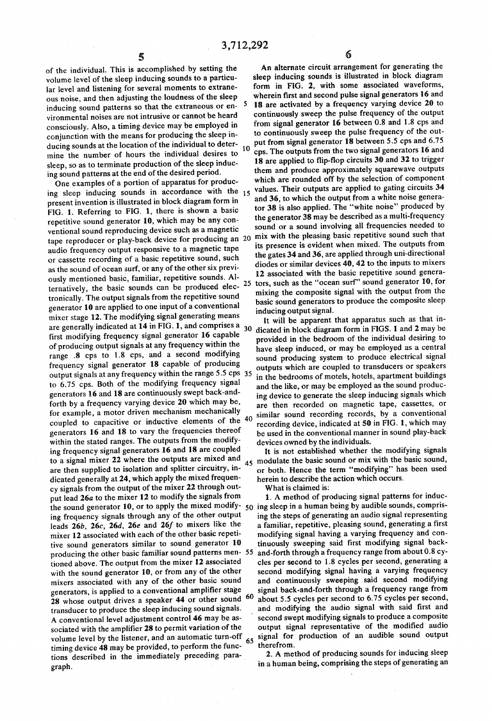10

of the individual. This is accomplished by setting the volume level of the sleep inducing sounds to a particu lar level and listening for several moments to extrane-<br>ous noise, and then adjusting the loudness of the sleep inducing sound patterns so that the extraneous or environmental noises are not intrusive or cannot be heard consciously. Also, a timing device may be employed in conjunction with the means for producing the sleep in ducing sounds at the location of the individual to deter mine the number of hours the individual desires to sleep, so as to terminate production of the sleep inducing sound patterns at the end of the desired period.

One examples of a portion of apparatus for producing sleep inducing sounds in accordance with the 15 present invention is illustrated in block diagram form in FIG. 1. Referring to FIG. 1, there is shown a basic repetitive sound generator 10, which may be any con ventional sound reproducing device such as a magnetic tape reproducer or play-back device for producing an 20 audio frequency output responsive to a magnetic tape or cassette recording of a basic repetitive sound, such ously mentioned basic, familiar, repetitive sounds. Alternatively, the basic sounds can be produced elec tronically. The output signals from the repetitive sound generator 10 are applied to one input of a conventional mixer stage 12. The modifying signal generating means are generally indicated at  $14$  in FIG. 1, and comprises a  $30$ first modifying frequency signal generator 16 capable of producing output signals at any frequency within the range .8 cps to 1.8 cps, and a second modifying frequency signal generator 18 capable of producing output signals at any frequency within the range 5.5 cps 35 to 6.75 cps. Both of the modifying frequency signal generators 16 and 18 are continuously swept back-and forth by a frequency varying device 20 which may be, for example, a motor driven mechanism mechanically coupled to capacitive or inductive elements of the 40 generators 16 and 18 to vary the frequencies thereof ing frequency signal generators 16 and 18 are coupled to a signal mixer 22 where the outputs are mixed and are then supplied to isolation and splitter circuitry, in dicated generally at 24, which apply the mixed frequen cy signals from the output of the mixer 22 through out put lead 26a to the mixer 12 to modify the signals from ing frequency signals through any of the other output leads  $26b$ ,  $26c$ ,  $26d$ ,  $26e$  and  $26f$  to mixers like the mixer 12 associated with each of the other basic repetitive sound generators similar to sound generator 10 producing the other basic familiar sound patterns men-55 tioned above. The output from the mixer 12 associated with the sound generator 10, or from any of the other mixers associated with any of the other basic sound generators, is applied to a conventional amplifier stage 28 whose output drives a speaker  $44$  or other sound  $60$ transducer to produce the sleep inducing sound signals. A conventional level adjustment control 46 may be as sociated with the amplifier 28 to permit variation of the volume level by the listener, and an automatic turn-off timing device 48 may be provided, to perform the func tions described in the immediately preceding para graph. 25 the sound generator 10, or to apply the mixed modify-  $50$  ing sleep in a human being by audible sounds, compris-

An alternate circuit arrangement for generating the sleep inducing sounds is illustrated in block diagram form in FIG. 2, with some associated waveforms, wherein first and second pulse signal generators 16 and 18 are activated by a frequency varying device 20 to continuously sweep the pulse frequency of the output from signal generator 16 between 0.8 and 1.8 cps and to continuously sweep the pulse frequency of the out put from signal generator 18 between 5.5 cps and 6.75 cps. The outputs from the two signal generators 16 and 18 are applied to flip-flop circuits 30 and 32 to trigger them and produce approximately squarewave outputs<br>which are rounded off by the selection of component values. Their outputs are applied to gating circuits 34 and 36, to which the output from a white noise genera-<br>tor 38 is also applied. The "white noise" produced by the generator 38 may be described as a multi-frequency sound or a sound involving all frequencies needed to mix with the pleasing basic repetitive sound such that its presence is evident when mixed. The outputs from the gates 34 and 36, are applied through uni-directional diodes or similar devices 40, 42 to the inputs to mixers 12 associated with the basic repetitive sound generators, such as the "ocean surf' sound generator 10, for mixing the composite signal with the output from the basic sound generators to produce the composite sleep inducing output signal.

It will be apparent that apparatus such as that in dicated in block diagram form in FIGS. 1 and 2 may be provided in the bedroom of the individual desiring to have sleep induced, or may be employed as a central sound producing system to produce electrical signal outputs which are coupled to transducers or speakers in the bedrooms of motels, hotels, apartment buildings and the like, or may be employed as the sound producing device to generate the sleep inducing signals which are then recorded on magnetic tape, cassettes, or similar sound recording records, by a conventional recording device, indicated at  $50$  in FIG. 1, which may be used in the conventional manner in sound play-back devices owned by the individuals.

45 modulate the basic sound or mix with the basic sound, It is not established whether the modifying signals or both. Hence the term "modifying' has been used herein to describe the action which occurs.

What is claimed is:

1. A method of producing signal patterns for induc ing the steps of generating an audio signal representing a familiar, repetitive, pleasing sound, generating a first modifying signal having a varying frequency and con tinuously sweeping said first modifying signal back-<br>and-forth through a frequency range from about 0.8 cycles per second to 1.8 cycles per second, generating a second modifying signal having a varying frequency and continuously sweeping said second modifying<br>signal back-and-forth through a frequency range from about 5.5 cycles per second to 6.75 cycles per second, and modifying the audio signal with said first and 65 second swept modifying signals to produce a composite output signal representative of the modified audio signal for production of an audible sound output

therefrom.<br>2. A method of producing sounds for inducing sleep in a human being, comprising the steps of generating an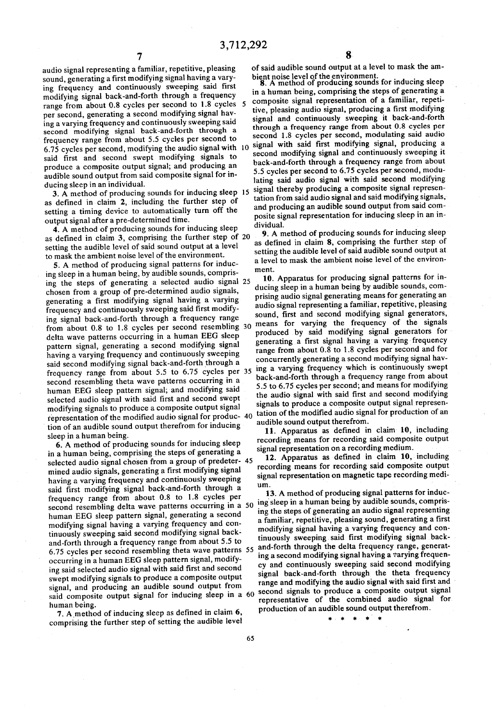audio signal representing a familiar, repetitive, pleasing sound, generating a first modifying signal having a vary-<br>ing frequency and continuously sweeping said first modifying signal back-and-forth through a frequency range from about 0.8 cycles per second to 1.8 cycles per second, generating a second modifying signal hav ing a varying frequency and continuously sweeping said second modifying signal back-and-forth through a frequency range from about 5.5 cycles per second to 6.75 cycles per second, modifying the audio signal with O said first and second swept modifying signals to produce a composite output signal; and producing an audible sound output from said composite signal for in ducing sleep in an individual.

3. A method of producing sounds for inducing sleep 15 as defined in claim 2, including the further step of setting a timing device to automatically turn off the output signal after a pre-determined time.

4. A method of producing sounds for inducing sleep as defined in claim 3, comprising the further step of 20 setting the audible level of said sound output at a level to mask the ambient noise level of the environment.

5. A method of producing signal patterns for inducing sleep in a human being, by audible sounds, comprischosen from a group of pre-determined audio signals,<br>generating a first modifying signal having a varying<br>frequency and continuously sweeping said first modify-<br>ing signal back-and-forth through a frequency range<br>from abou said second modifying signal back-and-forth through a second resembling theta wave patterns occurring in a human EEG sleep pattern signal; and modifying said selected audio signal with said first and second swept modifying signals to produce a composite output signal ing the steps of generating a selected audio signal 25 from about 0.8 to 1.8 cycles per second resembling 30 frequency range from about 5.5 to 6.75 cycles per 35 representation of the modified audio signal for produc- 40

tion of an audible sound output therefrom for inducing<br>sleep in a human being.<br>6. A method of producing sounds for inducing sleep<br>in a human being, comprising the steps of generating a mined audio signals, generating a first modifying signal<br>having a varying frequency and continuously sweeping<br>said first modifying signal back-and-forth through a<br>frequency range from about 0.8 to 1.8 cycles per human EEG sleep pattern signal, generating a second modifying signal having a varying frequency and con tinuously sweeping said second modifying signal back and-forth through a frequency range from about 5.5 to occurring in a human EEG sleep pattern signal, modifying said selected audio signal with said first and second swept modifying signals to produce a composite output signal, and producing an audible sound output from said composite output signal for inducing sleep in a 60 selected audio signal chosen from a group of predeter- 45 12. Apparatus as defined in claim 10, including<br>recording means for recording said composite output and-torm infough a frequency range from about 3.5 to<br>6.75 cycles per second resembling theta wave patterns 55 and-forth through the delta frequency range, generat-

human being.<br>7. A method of inducing sleep as defined in claim 6, comprising the further step of setting the audible level

of said audible sound output at a level to mask the am

bient noise level of the environment.<br>8. A method of producing sounds for inducing sleep<br>in a human being, comprising the steps of generating a<br>composite signal representation of a familiar, repetitive, pleasing audio signal, producing a first modifying signal and continuously sweeping it back-and-forth through a frequency range from about 0.8 cycles per second 1.8 cycles per second, modulating said audio signal with said first modifying signal, producing a second modifying signal and continuously sweeping it back-and-forth through a frequency range from about 5.5 cycles per second to 6.75 cycles per second, modu signal thereby producing a composite signal representation from said audio signal and said modifying signals, and producing an audible sound output from said composite signal representation for inducing sleep in an in dividual.

9. A method of producing sounds for inducing sleep as defined in claim 8, comprising the further step of setting the audible level of said audible sound output at a level to mask the ambient noise level of the environ ment.

10. Apparatus for producing signal patterns for in ducing sleep in a human being by audible sounds, com prising audio signal generating means for generating an audio signal representing a familiar, repetitive, pleasing sound, first and second modifying signal generators, means for varying the frequency of the signals produced by said modifying signal generators for generating a first signal having a varying frequency range from about 0.8 to 1.8 cycles per second and for concurrently generating a second modifying signal hav ing a varying frequency which is continuously swept back-and-forth through a frequency range from about 5.5 to 6.75 cycles per second; and means for modifying the audio signal with said first and second modifying signals to produce a composite output signal representation of the modified audio signal for production of an audible sound output therefrom.<br>11. Apparatus as defined in claim 10, including

11. The following asset as defined in claim 10, including representation on a recording medium.<br>**12.** Apparatus as defined in claim **10**, including

signal representation on magnetic tape recording medium.

frequency range from about 0.8 to 1.8 cycles per<br>second resembling delta wave patterns occurring in a 50 ing sleep in a human being by audible sounds, compris-<br>human EEG sleep pattern signal generating a second ing the ste 13. A method of producing signal patterns for induc a familiar, repetitive, pleasing sound, generating a first modifying signal having a varying frequency and con tinuously sweeping said first modifying signal back ing a second modifying signal having a varying frequency and continuously sweeping said second modifying signal back-and-forth through the theta frequency range and modifying the audio signal with said first and second signals to produce a composite output signal representative of the combined audio signal for production of an audible sound output therefrom.<br> $\begin{array}{ccc} \bullet & \bullet & \bullet & \bullet \\ \bullet & \bullet & \bullet & \bullet \end{array}$